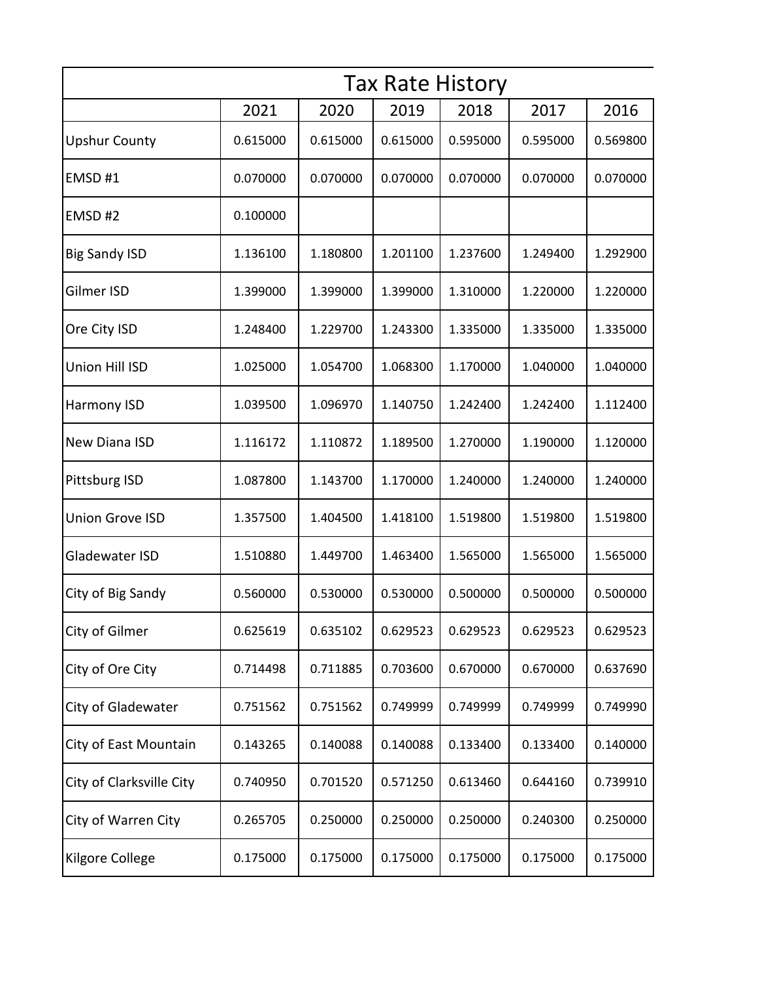|                          | <b>Tax Rate History</b> |          |          |          |          |          |  |
|--------------------------|-------------------------|----------|----------|----------|----------|----------|--|
|                          | 2021                    | 2020     | 2019     | 2018     | 2017     | 2016     |  |
| <b>Upshur County</b>     | 0.615000                | 0.615000 | 0.615000 | 0.595000 | 0.595000 | 0.569800 |  |
| EMSD#1                   | 0.070000                | 0.070000 | 0.070000 | 0.070000 | 0.070000 | 0.070000 |  |
| EMSD#2                   | 0.100000                |          |          |          |          |          |  |
| <b>Big Sandy ISD</b>     | 1.136100                | 1.180800 | 1.201100 | 1.237600 | 1.249400 | 1.292900 |  |
| Gilmer ISD               | 1.399000                | 1.399000 | 1.399000 | 1.310000 | 1.220000 | 1.220000 |  |
| Ore City ISD             | 1.248400                | 1.229700 | 1.243300 | 1.335000 | 1.335000 | 1.335000 |  |
| Union Hill ISD           | 1.025000                | 1.054700 | 1.068300 | 1.170000 | 1.040000 | 1.040000 |  |
| Harmony ISD              | 1.039500                | 1.096970 | 1.140750 | 1.242400 | 1.242400 | 1.112400 |  |
| New Diana ISD            | 1.116172                | 1.110872 | 1.189500 | 1.270000 | 1.190000 | 1.120000 |  |
| Pittsburg ISD            | 1.087800                | 1.143700 | 1.170000 | 1.240000 | 1.240000 | 1.240000 |  |
| <b>Union Grove ISD</b>   | 1.357500                | 1.404500 | 1.418100 | 1.519800 | 1.519800 | 1.519800 |  |
| Gladewater ISD           | 1.510880                | 1.449700 | 1.463400 | 1.565000 | 1.565000 | 1.565000 |  |
| City of Big Sandy        | 0.560000                | 0.530000 | 0.530000 | 0.500000 | 0.500000 | 0.500000 |  |
| City of Gilmer           | 0.625619                | 0.635102 | 0.629523 | 0.629523 | 0.629523 | 0.629523 |  |
| City of Ore City         | 0.714498                | 0.711885 | 0.703600 | 0.670000 | 0.670000 | 0.637690 |  |
| City of Gladewater       | 0.751562                | 0.751562 | 0.749999 | 0.749999 | 0.749999 | 0.749990 |  |
| City of East Mountain    | 0.143265                | 0.140088 | 0.140088 | 0.133400 | 0.133400 | 0.140000 |  |
| City of Clarksville City | 0.740950                | 0.701520 | 0.571250 | 0.613460 | 0.644160 | 0.739910 |  |
| City of Warren City      | 0.265705                | 0.250000 | 0.250000 | 0.250000 | 0.240300 | 0.250000 |  |
| Kilgore College          | 0.175000                | 0.175000 | 0.175000 | 0.175000 | 0.175000 | 0.175000 |  |